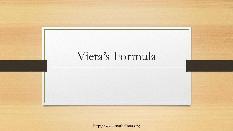

http://www.mathallstar.org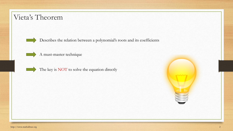#### Vieta's Theorem

Describes the relation between a polynomial's roots and its coefficients



A must-master technique



The key is NOT to solve the equation directly

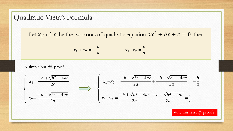#### Quadratic Vieta's Formula

Let  $x_1$  and  $x_2$  be the two roots of quadratic equation  $ax^2 + bx + c = 0$ , then

$$
x_1 + x_2 = -\frac{b}{a} \qquad x_1 \cdot x_2 = \frac{c}{a}
$$

A simple but *silly* proof

$$
\begin{cases}\n x_1 = \frac{-b + \sqrt{b^2 - 4ac}}{2a} \\
x_2 = \frac{-b - \sqrt{b^2 - 4ac}}{2a}\n\end{cases}\n\qquad\n\begin{cases}\n x_1 + x_2 = \frac{-b + \sqrt{b^2 - 4ac}}{2a} + \frac{-b - \sqrt{b^2 - 4ac}}{2a} = -\frac{b}{a} \\
x_1 \cdot x_2 = \frac{-b + \sqrt{b^2 - 4ac}}{2a} \cdot \frac{-b - \sqrt{b^2 - 4ac}}{2a} = \frac{c}{a}\n\end{cases}
$$

Why this is a *silly* proof?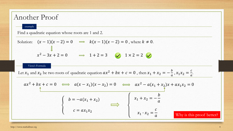#### Another Proof example Find a quadratic equation whose roots are 1 and 2. Solution:  $(x-1)(x-2) = 0 \implies k(x-1)(x-2) = 0$ , where  $k \neq 0$ .  $x^2 - 3x + 2 = 0$   $\implies$  1 + 2 = 3  $\blacktriangleright$  1 × 2 = 2 Vieta's Formula  $ax^2 + bx + c = 0 \iff a(x - x_1)(x - x_2) = 0 \iff ax^2 - a(x_1 + x_2)x + ax_1x_2 = 0$  $\left\{ \right.$  $b = -a(x_1 + x_2)$  $c = a x_1 x_2$  $x_1 + x_2 = \boldsymbol{b}$  $\boldsymbol{a}$  $x_1 \cdot x_2 =$  $\mathcal{C}_{0}$ Why is this proof better? Let  $x_1$  and  $x_2$  be two roots of quadratic equation  $ax^2 + bx + c = 0$ , then  $x_1 + x_2 = -\frac{b}{a}$  $\frac{b}{a}$ ,  $x_1x_2 = \frac{c}{a}$  $\frac{c}{a}$ .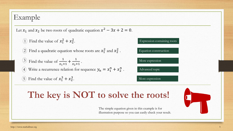# Example

Let  $x_1$  and  $x_2$  be two roots of quadratic equation  $x^2 - 3x + 2 = 0$ .

1) Find the value of  $x_1^2 + x_2^2$ .

2 Find a quadratic equation whose roots are  $x_1^2$  and  $x_2^2$ .

Find the value of  $\frac{1}{x+1}$  $x_1 + 1$  $+\frac{1}{\cdots}$  $x_2+1$ 3) Find the value of  $\frac{1}{x+1} + \frac{1}{x+1}$ . 4) Write a recurrence relation for sequence  $y_n = x_1^n + x_2^n$ . 5 Find the value of  $x_1^3 + x_2^3$ .

More expression Advanced topic

Equation construction

Expression containing roots

# The key is NOT to solve the roots!

The simple equation given in this example is for illustration purpose so you can easily check your result.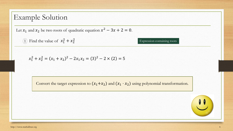Let  $x_1$  and  $x_2$  be two roots of quadratic equation  $x^2 - 3x + 2 = 0$ .

1 Find the value of  $x_1^2 + x_2^2$ 

Expression containing roots

$$
x_1^2 + x_2^2 = (x_1 + x_2)^2 - 2x_1x_2 = (3)^2 - 2 \times (2) = 5
$$

Convert the target expression to  $(x_1+x_2)$  and  $(x_1 \cdot x_2)$  using polynomial transformation.

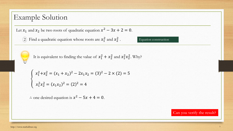Let  $x_1$  and  $x_2$  be two roots of quadratic equation  $x^2 - 3x + 2 = 0$ .

2 Find a quadratic equation whose roots are  $x_1^2$  and  $x_2^2$ . Equation construction



It is equivalent to finding the value of  $x_1^2 + x_2^2$  and  $x_1^2 x_2^2$ . Why?

$$
\begin{cases} x_1^2 + x_2^2 = (x_1 + x_2)^2 - 2x_1x_2 = (3)^2 - 2 \times (2) = 5\\ x_1^2 x_2^2 = (x_1 x_2)^2 = (2)^2 = 4 \end{cases}
$$

∴ one desired equation is  $x^2 - 5x + 4 = 0$ .

Can you verify the result?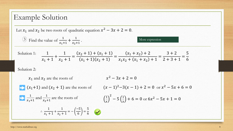Let  $x_1$  and  $x_2$  be two roots of quadratic equation  $x^2 - 3x + 2 = 0$ .

3 Find the value of 
$$
\frac{1}{x_1+1} + \frac{1}{x_2+1}
$$
.  
\nSolution 1:  $\frac{1}{x_1+1} + \frac{1}{x_2+1} = \frac{(x_2+1) + (x_1+1)}{(x_1+1)(x_2+1)} = \frac{(x_1+x_2)+2}{x_1x_2+(x_1+x_2)+1} = \frac{3+2}{2+3+1} = \frac{5}{6}$ 

Solution 2:

$$
x_1
$$
 and  $x_2$  are the roots of  
\n $(x_1 + 1)$  and  $(x_2 + 1)$  are the roots of  
\n $(x - 1)^2 - 3(x - 1) + 2 = 0$  or  $x^2 - 5x + 6 = 0$   
\n $\frac{1}{x_1 + 1}$  and  $\frac{1}{x_2 + 1}$  are the roots of  
\n $\left(\frac{1}{x}\right)^2 - 5\left(\frac{1}{x}\right) + 6 = 0$  or  $6x^2 - 5x + 1 = 0$   
\n $\therefore \frac{1}{x_1 + 1} + \frac{1}{x_2 + 1} = -\left(\frac{-5}{6}\right) = \frac{5}{6}$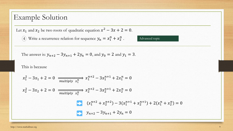Let  $x_1$  and  $x_2$  be two roots of quadratic equation  $x^2 - 3x + 2 = 0$ .

4) Write a recurrence relation for sequence  $y_n = x_1^n + x_2^n$ . Advanced topic

The answer is: 
$$
y_{n+2} - 3y_{n+1} + 2y_n = 0
$$
, and  $y_0 = 2$  and  $y_1 = 3$ .

This is because

$$
x_1^2 - 3x_1 + 2 = 0 \xrightarrow{\text{multiply } x_1^n} x_1^{n+2} - 3x_1^{n+1} + 2x_1^n = 0
$$
\n
$$
x_2^2 - 3x_2 + 2 = 0 \xrightarrow{\text{multiply } x_2^n} x_2^{n+2} - 3x_2^{n+1} + 2x_2^n = 0
$$
\n
$$
(x_1^{n+2} + x_2^{n+2}) - 3(x_1^{n+1} + x_2^{n+1}) + 2(x_1^n + x_2^n) = 0
$$
\n
$$
y_{n+2} - 3y_{n+1} + 2y_n = 0
$$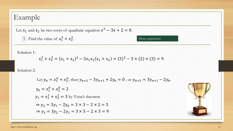# Example

Let  $x_1$  and  $x_2$  be two roots of quadratic equation  $x^2 - 3x + 2 = 0$ .

5 Find the value of  $x_1^3 + x_2^3$ .

Solution 1:

$$
x_1^3 + x_2^3 = (x_1 + x_2)^3 - 3x_1x_2(x_1 + x_2) = (3)^3 - 3 \times (2) \times (3) = 9
$$

Solution 2:

Let 
$$
y_n = x_1^n + x_2^n
$$
, then  $y_{n+2} - 3y_{n+1} + 2y_n = 0$ , or  $y_{n+2} = 3y_{n+1} - 2y_n$ .  
\n $y_0 = x_1^0 + x_2^0 = 2$   
\n $y_1 = x_1^1 + x_2^1 = 3$  by Vieta's theorem  
\n $\Rightarrow y_2 = 3y_1 - 2y_0 = 3 \times 3 - 2 \times 2 = 5$   
\n $\Rightarrow y_3 = 3y_2 - 2y_1 = 3 \times 5 - 2 \times 3 = 9$